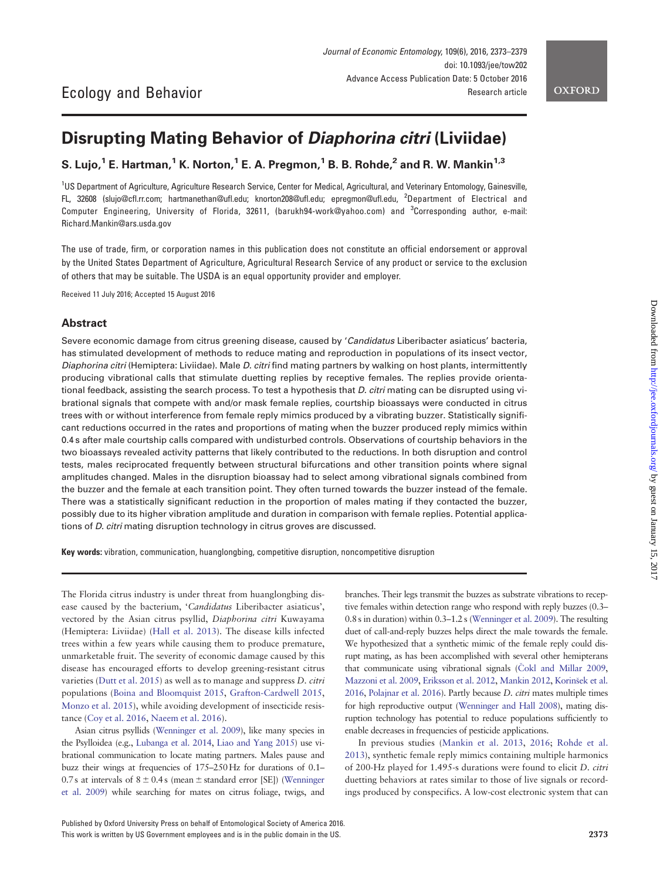# Disrupting Mating Behavior of Diaphorina citri (Liviidae)

## S. Lujo,<sup>1</sup> E. Hartman,<sup>1</sup> K. Norton,<sup>1</sup> E. A. Pregmon,<sup>1</sup> B. B. Rohde,<sup>2</sup> and R. W. Mankin<sup>1,3</sup>

<sup>1</sup>US Department of Agriculture, Agriculture Research Service, Center for Medical, Agricultural, and Veterinary Entomology, Gainesville, FL, 32608 (slujo@cfl.rr.com; hartmanethan@ufl.edu; knorton208@ufl.edu; epregmon@ufl.edu, <sup>2</sup> Department of Electrical and Computer Engineering, University of Florida, 32611, (barukh94-work@yahoo.com) and <sup>3</sup> Corresponding author, e-mail: Richard.Mankin@ars.usda.gov

The use of trade, firm, or corporation names in this publication does not constitute an official endorsement or approval by the United States Department of Agriculture, Agricultural Research Service of any product or service to the exclusion of others that may be suitable. The USDA is an equal opportunity provider and employer.

Received 11 July 2016; Accepted 15 August 2016

Ecology and Behavior

## Abstract

Severe economic damage from citrus greening disease, caused by 'Candidatus Liberibacter asiaticus' bacteria, has stimulated development of methods to reduce mating and reproduction in populations of its insect vector, Diaphorina citri (Hemiptera: Liviidae). Male D. citri find mating partners by walking on host plants, intermittently producing vibrational calls that stimulate duetting replies by receptive females. The replies provide orientational feedback, assisting the search process. To test a hypothesis that  $D$ , citri mating can be disrupted using vibrational signals that compete with and/or mask female replies, courtship bioassays were conducted in citrus trees with or without interference from female reply mimics produced by a vibrating buzzer. Statistically significant reductions occurred in the rates and proportions of mating when the buzzer produced reply mimics within 0.4 s after male courtship calls compared with undisturbed controls. Observations of courtship behaviors in the two bioassays revealed activity patterns that likely contributed to the reductions. In both disruption and control tests, males reciprocated frequently between structural bifurcations and other transition points where signal amplitudes changed. Males in the disruption bioassay had to select among vibrational signals combined from the buzzer and the female at each transition point. They often turned towards the buzzer instead of the female. There was a statistically significant reduction in the proportion of males mating if they contacted the buzzer, possibly due to its higher vibration amplitude and duration in comparison with female replies. Potential applications of D. citri mating disruption technology in citrus groves are discussed.

Key words: vibration, communication, huanglongbing, competitive disruption, noncompetitive disruption

The Florida citrus industry is under threat from huanglongbing disease caused by the bacterium, 'Candidatus Liberibacter asiaticus', vectored by the Asian citrus psyllid, Diaphorina citri Kuwayama (Hemiptera: Liviidae) ([Hall et al. 2013\)](#page-5-0). The disease kills infected trees within a few years while causing them to produce premature, unmarketable fruit. The severity of economic damage caused by this disease has encouraged efforts to develop greening-resistant citrus varieties ([Dutt et al. 2015\)](#page-5-0) as well as to manage and suppress D. citri populations ([Boina and Bloomquist 2015](#page-5-0), [Grafton-Cardwell 2015](#page-5-0), [Monzo et al. 2015](#page-6-0)), while avoiding development of insecticide resistance [\(Coy et al. 2016,](#page-5-0) [Naeem et al. 2016\)](#page-6-0).

Asian citrus psyllids [\(Wenninger et al. 2009\)](#page-6-0), like many species in the Psylloidea (e.g., [Lubanga et al. 2014](#page-5-0), [Liao and Yang 2015\)](#page-5-0) use vibrational communication to locate mating partners. Males pause and buzz their wings at frequencies of 175–250 Hz for durations of 0.1– 0.7s at intervals of  $8 \pm 0.4$  s (mean  $\pm$  standard error [SE]) ([Wenninger](#page-6-0) [et al. 2009\)](#page-6-0) while searching for mates on citrus foliage, twigs, and

branches. Their legs transmit the buzzes as substrate vibrations to receptive females within detection range who respond with reply buzzes (0.3– 0.8s in duration) within 0.3–1.2s ([Wenninger et al. 2009\)](#page-6-0). The resulting duet of call-and-reply buzzes helps direct the male towards the female. We hypothesized that a synthetic mimic of the female reply could disrupt mating, as has been accomplished with several other hemipterans that communicate using vibrational signals (Čokl and Millar 2009, [Mazzoni et al. 2009,](#page-5-0) [Eriksson et al. 2012](#page-5-0), [Mankin 2012](#page-5-0), [Korin](#page-5-0)šek et al. [2016](#page-5-0), [Polajnar et al. 2016\)](#page-6-0). Partly because D. citri mates multiple times for high reproductive output ([Wenninger and Hall 2008\)](#page-6-0), mating disruption technology has potential to reduce populations sufficiently to enable decreases in frequencies of pesticide applications.

In previous studies [\(Mankin et al. 2013](#page-5-0), [2016;](#page-5-0) [Rohde et al.](#page-6-0) [2013](#page-6-0)), synthetic female reply mimics containing multiple harmonics of 200-Hz played for 1.495-s durations were found to elicit D. citri duetting behaviors at rates similar to those of live signals or recordings produced by conspecifics. A low-cost electronic system that can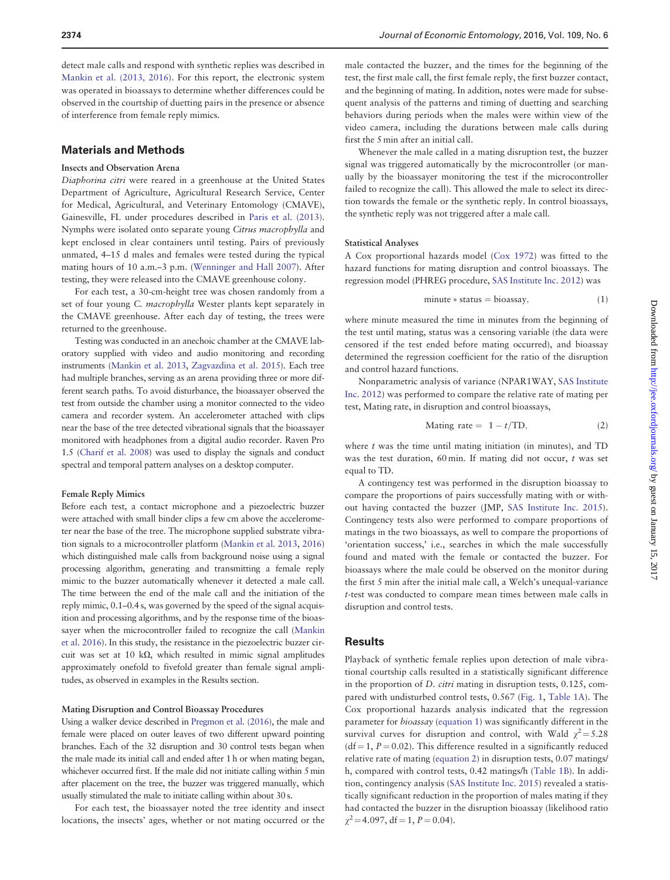detect male calls and respond with synthetic replies was described in [Mankin et al. \(2013, 2016\)](#page-5-0). For this report, the electronic system was operated in bioassays to determine whether differences could be observed in the courtship of duetting pairs in the presence or absence of interference from female reply mimics.

## Materials and Methods

#### Insects and Observation Arena

Diaphorina citri were reared in a greenhouse at the United States Department of Agriculture, Agricultural Research Service, Center for Medical, Agricultural, and Veterinary Entomology (CMAVE), Gainesville, FL under procedures described in [Paris et al. \(2013\)](#page-6-0). Nymphs were isolated onto separate young Citrus macrophylla and kept enclosed in clear containers until testing. Pairs of previously unmated, 4–15 d males and females were tested during the typical mating hours of 10 a.m.–3 p.m. ([Wenninger and Hall 2007](#page-6-0)). After testing, they were released into the CMAVE greenhouse colony.

For each test, a 30-cm-height tree was chosen randomly from a set of four young C. macrophylla Wester plants kept separately in the CMAVE greenhouse. After each day of testing, the trees were returned to the greenhouse.

Testing was conducted in an anechoic chamber at the CMAVE laboratory supplied with video and audio monitoring and recording instruments ([Mankin et al. 2013](#page-5-0), [Zagvazdina et al. 2015](#page-6-0)). Each tree had multiple branches, serving as an arena providing three or more different search paths. To avoid disturbance, the bioassayer observed the test from outside the chamber using a monitor connected to the video camera and recorder system. An accelerometer attached with clips near the base of the tree detected vibrational signals that the bioassayer monitored with headphones from a digital audio recorder. Raven Pro 1.5 [\(Charif et al. 2008](#page-5-0)) was used to display the signals and conduct spectral and temporal pattern analyses on a desktop computer.

#### Female Reply Mimics

Before each test, a contact microphone and a piezoelectric buzzer were attached with small binder clips a few cm above the accelerometer near the base of the tree. The microphone supplied substrate vibration signals to a microcontroller platform [\(Mankin et al. 2013](#page-5-0), [2016\)](#page-5-0) which distinguished male calls from background noise using a signal processing algorithm, generating and transmitting a female reply mimic to the buzzer automatically whenever it detected a male call. The time between the end of the male call and the initiation of the reply mimic, 0.1–0.4s, was governed by the speed of the signal acquisition and processing algorithms, and by the response time of the bioassayer when the microcontroller failed to recognize the call ([Mankin](#page-5-0) [et al. 2016](#page-5-0)). In this study, the resistance in the piezoelectric buzzer circuit was set at 10 k $\Omega$ , which resulted in mimic signal amplitudes approximately onefold to fivefold greater than female signal amplitudes, as observed in examples in the Results section.

#### Mating Disruption and Control Bioassay Procedures

Using a walker device described in [Pregmon et al. \(2016\),](#page-6-0) the male and female were placed on outer leaves of two different upward pointing branches. Each of the 32 disruption and 30 control tests began when the male made its initial call and ended after 1 h or when mating began, whichever occurred first. If the male did not initiate calling within 5 min after placement on the tree, the buzzer was triggered manually, which usually stimulated the male to initiate calling within about 30 s.

For each test, the bioassayer noted the tree identity and insect locations, the insects' ages, whether or not mating occurred or the

male contacted the buzzer, and the times for the beginning of the test, the first male call, the first female reply, the first buzzer contact, and the beginning of mating. In addition, notes were made for subsequent analysis of the patterns and timing of duetting and searching behaviors during periods when the males were within view of the video camera, including the durations between male calls during first the 5 min after an initial call.

Whenever the male called in a mating disruption test, the buzzer signal was triggered automatically by the microcontroller (or manually by the bioassayer monitoring the test if the microcontroller failed to recognize the call). This allowed the male to select its direction towards the female or the synthetic reply. In control bioassays, the synthetic reply was not triggered after a male call.

#### Statistical Analyses

A Cox proportional hazards model ([Cox 1972\)](#page-5-0) was fitted to the hazard functions for mating disruption and control bioassays. The regression model (PHREG procedure, [SAS Institute Inc. 2012](#page-6-0)) was

$$
minute * status = bioassay,
$$
\n(1)

where minute measured the time in minutes from the beginning of the test until mating, status was a censoring variable (the data were censored if the test ended before mating occurred), and bioassay determined the regression coefficient for the ratio of the disruption and control hazard functions.

Nonparametric analysis of variance (NPAR1WAY, [SAS Institute](#page-6-0) [Inc. 2012](#page-6-0)) was performed to compare the relative rate of mating per test, Mating rate, in disruption and control bioassays,

$$
Mating rate = 1 - t/TD,
$$
\n(2)

where  $t$  was the time until mating initiation (in minutes), and  $TD$ was the test duration, 60 min. If mating did not occur, t was set equal to TD.

A contingency test was performed in the disruption bioassay to compare the proportions of pairs successfully mating with or without having contacted the buzzer (JMP, [SAS Institute Inc. 2015\)](#page-6-0). Contingency tests also were performed to compare proportions of matings in the two bioassays, as well to compare the proportions of 'orientation success,' i.e., searches in which the male successfully found and mated with the female or contacted the buzzer. For bioassays where the male could be observed on the monitor during the first 5 min after the initial male call, a Welch's unequal-variance t-test was conducted to compare mean times between male calls in disruption and control tests.

## **Results**

Playback of synthetic female replies upon detection of male vibrational courtship calls resulted in a statistically significant difference in the proportion of D. citri mating in disruption tests, 0.125, compared with undisturbed control tests, 0.567 ([Fig. 1,](#page-2-0) [Table 1A\)](#page-2-0). The Cox proportional hazards analysis indicated that the regression parameter for bioassay (equation 1) was significantly different in the survival curves for disruption and control, with Wald  $\chi^2$  = 5.28 (df = 1,  $P = 0.02$ ). This difference resulted in a significantly reduced relative rate of mating (equation 2) in disruption tests, 0.07 matings/ h, compared with control tests, 0.42 matings/h ([Table 1B\)](#page-2-0). In addition, contingency analysis ([SAS Institute Inc. 2015\)](#page-6-0) revealed a statistically significant reduction in the proportion of males mating if they had contacted the buzzer in the disruption bioassay (likelihood ratio  $\chi^2$  = 4.097, df = 1, P = 0.04).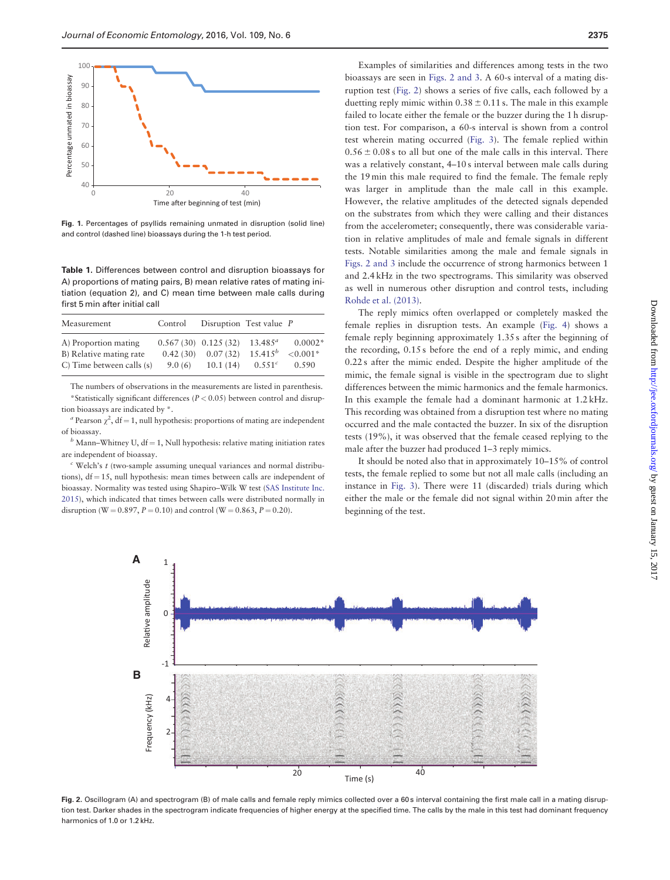<span id="page-2-0"></span>

Fig. 1. Percentages of psyllids remaining unmated in disruption (solid line) and control (dashed line) bioassays during the 1-h test period.

Table 1. Differences between control and disruption bioassays for A) proportions of mating pairs, B) mean relative rates of mating initiation (equation 2), and C) mean time between male calls during first 5 min after initial call

| Measurement                                                                  | Control            | Disruption Test value P                         |                                           |                                   |
|------------------------------------------------------------------------------|--------------------|-------------------------------------------------|-------------------------------------------|-----------------------------------|
| A) Proportion mating<br>B) Relative mating rate<br>C) Time between calls (s) | 0.42(30)<br>9.0(6) | $0.567(30)$ $0.125(32)$<br>0.07(32)<br>10.1(14) | $13.485^a$<br>$15.415^{b}$<br>$0.551^{c}$ | $0.0002*$<br>${<}0.001*$<br>0.590 |

The numbers of observations in the measurements are listed in parenthesis. \*Statistically significant differences ( $P < 0.05$ ) between control and disruption bioassays are indicated by \*.

<sup>a</sup> Pearson  $\chi^2$ , df = 1, null hypothesis: proportions of mating are independent of bioassay.

 $b$  Mann–Whitney U, df = 1, Null hypothesis: relative mating initiation rates are independent of bioassay.

 $\epsilon$  Welch's  $t$  (two-sample assuming unequal variances and normal distributions),  $df = 15$ , null hypothesis: mean times between calls are independent of bioassay. Normality was tested using Shapiro–Wilk W test [\(SAS Institute Inc.](#page-6-0) [2015](#page-6-0)), which indicated that times between calls were distributed normally in disruption (W = 0.897, P = 0.10) and control (W = 0.863, P = 0.20).

Examples of similarities and differences among tests in the two bioassays are seen in Figs. 2 and [3](#page-3-0). A 60-s interval of a mating disruption test (Fig. 2) shows a series of five calls, each followed by a duetting reply mimic within  $0.38 \pm 0.11$  s. The male in this example failed to locate either the female or the buzzer during the 1 h disruption test. For comparison, a 60-s interval is shown from a control test wherein mating occurred ([Fig. 3\)](#page-3-0). The female replied within  $0.56 \pm 0.08$  s to all but one of the male calls in this interval. There was a relatively constant, 4–10 s interval between male calls during the 19 min this male required to find the female. The female reply was larger in amplitude than the male call in this example. However, the relative amplitudes of the detected signals depended on the substrates from which they were calling and their distances from the accelerometer; consequently, there was considerable variation in relative amplitudes of male and female signals in different tests. Notable similarities among the male and female signals in Figs. 2 and [3](#page-3-0) include the occurrence of strong harmonics between 1 and 2.4 kHz in the two spectrograms. This similarity was observed as well in numerous other disruption and control tests, including [Rohde et al. \(2013\).](#page-6-0)

The reply mimics often overlapped or completely masked the female replies in disruption tests. An example ([Fig. 4](#page-3-0)) shows a female reply beginning approximately 1.35 s after the beginning of the recording, 0.15 s before the end of a reply mimic, and ending 0.22 s after the mimic ended. Despite the higher amplitude of the mimic, the female signal is visible in the spectrogram due to slight differences between the mimic harmonics and the female harmonics. In this example the female had a dominant harmonic at 1.2 kHz. This recording was obtained from a disruption test where no mating occurred and the male contacted the buzzer. In six of the disruption tests (19%), it was observed that the female ceased replying to the male after the buzzer had produced 1–3 reply mimics.

It should be noted also that in approximately 10–15% of control tests, the female replied to some but not all male calls (including an instance in [Fig. 3\)](#page-3-0). There were 11 (discarded) trials during which either the male or the female did not signal within 20 min after the beginning of the test.



Fig. 2. Oscillogram (A) and spectrogram (B) of male calls and female reply mimics collected over a 60 s interval containing the first male call in a mating disruption test. Darker shades in the spectrogram indicate frequencies of higher energy at the specified time. The calls by the male in this test had dominant frequency harmonics of 1.0 or 1.2 kHz.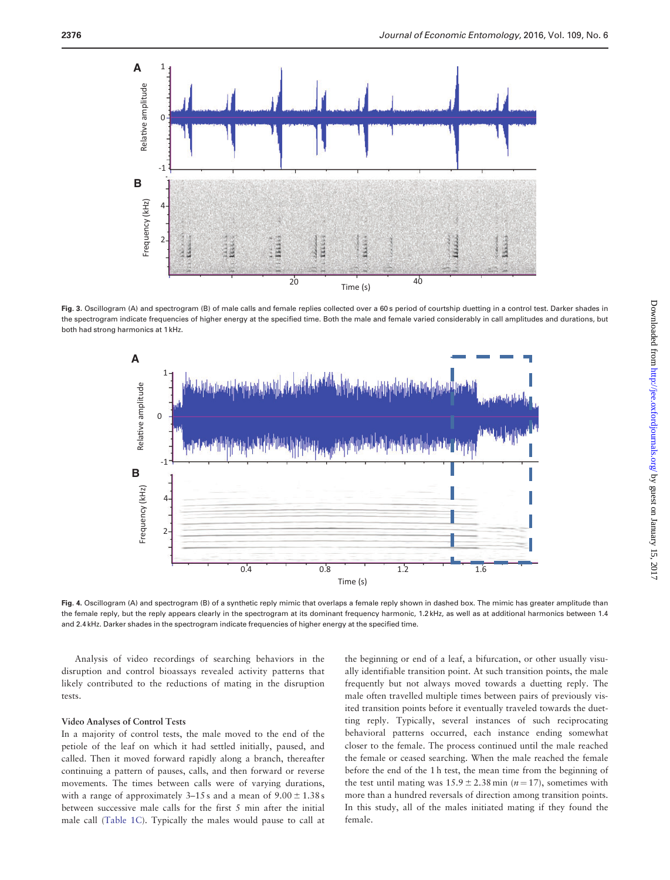<span id="page-3-0"></span>

Fig. 3. Oscillogram (A) and spectrogram (B) of male calls and female replies collected over a 60 s period of courtship duetting in a control test. Darker shades in the spectrogram indicate frequencies of higher energy at the specified time. Both the male and female varied considerably in call amplitudes and durations, but both had strong harmonics at 1 kHz.



Fig. 4. Oscillogram (A) and spectrogram (B) of a synthetic reply mimic that overlaps a female reply shown in dashed box. The mimic has greater amplitude than the female reply, but the reply appears clearly in the spectrogram at its dominant frequency harmonic, 1.2 kHz, as well as at additional harmonics between 1.4 and 2.4 kHz. Darker shades in the spectrogram indicate frequencies of higher energy at the specified time.

Analysis of video recordings of searching behaviors in the disruption and control bioassays revealed activity patterns that likely contributed to the reductions of mating in the disruption tests.

#### Video Analyses of Control Tests

In a majority of control tests, the male moved to the end of the petiole of the leaf on which it had settled initially, paused, and called. Then it moved forward rapidly along a branch, thereafter continuing a pattern of pauses, calls, and then forward or reverse movements. The times between calls were of varying durations, with a range of approximately  $3-15$  s and a mean of  $9.00 \pm 1.38$  s between successive male calls for the first 5 min after the initial male call ([Table 1C](#page-2-0)). Typically the males would pause to call at

the beginning or end of a leaf, a bifurcation, or other usually visually identifiable transition point. At such transition points, the male frequently but not always moved towards a duetting reply. The male often travelled multiple times between pairs of previously visited transition points before it eventually traveled towards the duetting reply. Typically, several instances of such reciprocating behavioral patterns occurred, each instance ending somewhat closer to the female. The process continued until the male reached the female or ceased searching. When the male reached the female before the end of the 1 h test, the mean time from the beginning of the test until mating was  $15.9 \pm 2.38$  min (n = 17), sometimes with more than a hundred reversals of direction among transition points. In this study, all of the males initiated mating if they found the female.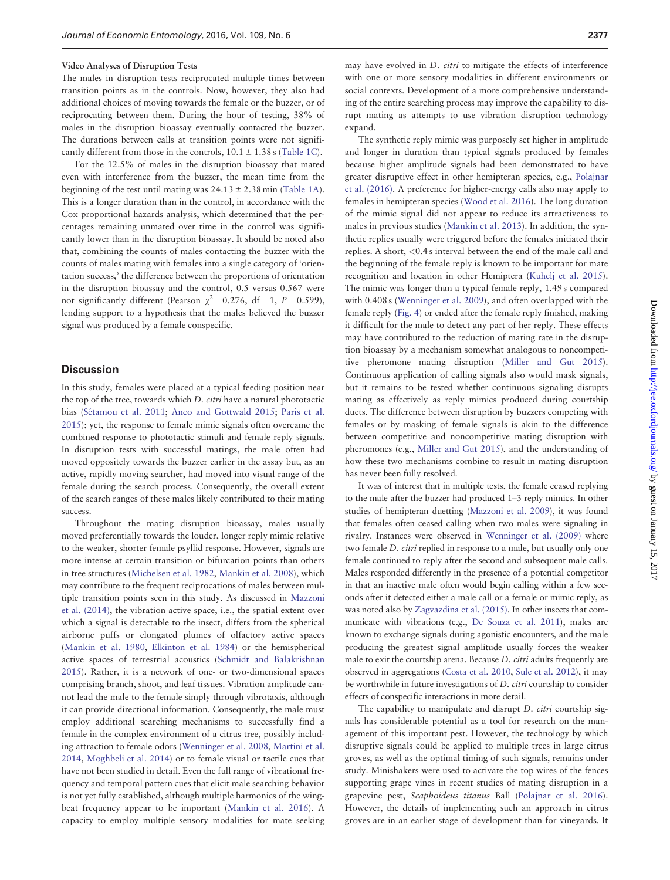#### Video Analyses of Disruption Tests

The males in disruption tests reciprocated multiple times between transition points as in the controls. Now, however, they also had additional choices of moving towards the female or the buzzer, or of reciprocating between them. During the hour of testing, 38% of males in the disruption bioassay eventually contacted the buzzer. The durations between calls at transition points were not significantly different from those in the controls,  $10.1 \pm 1.38$  s [\(Table 1C\)](#page-2-0).

For the 12.5% of males in the disruption bioassay that mated even with interference from the buzzer, the mean time from the beginning of the test until mating was  $24.13 \pm 2.38$  min ([Table 1A\)](#page-2-0). This is a longer duration than in the control, in accordance with the Cox proportional hazards analysis, which determined that the percentages remaining unmated over time in the control was significantly lower than in the disruption bioassay. It should be noted also that, combining the counts of males contacting the buzzer with the counts of males mating with females into a single category of 'orientation success,' the difference between the proportions of orientation in the disruption bioassay and the control, 0.5 versus 0.567 were not significantly different (Pearson  $\chi^2$  = 0.276, df = 1, P = 0.599), lending support to a hypothesis that the males believed the buzzer signal was produced by a female conspecific.

## **Discussion**

In this study, females were placed at a typical feeding position near the top of the tree, towards which D. citri have a natural phototactic bias (Sétamou et al. 2011; [Anco and Gottwald 2015](#page-5-0); [Paris et al.](#page-6-0) [2015](#page-6-0)); yet, the response to female mimic signals often overcame the combined response to phototactic stimuli and female reply signals. In disruption tests with successful matings, the male often had moved oppositely towards the buzzer earlier in the assay but, as an active, rapidly moving searcher, had moved into visual range of the female during the search process. Consequently, the overall extent of the search ranges of these males likely contributed to their mating success.

Throughout the mating disruption bioassay, males usually moved preferentially towards the louder, longer reply mimic relative to the weaker, shorter female psyllid response. However, signals are more intense at certain transition or bifurcation points than others in tree structures ([Michelsen et al. 1982](#page-5-0), [Mankin et al. 2008\)](#page-5-0), which may contribute to the frequent reciprocations of males between multiple transition points seen in this study. As discussed in [Mazzoni](#page-5-0) [et al. \(2014\),](#page-5-0) the vibration active space, i.e., the spatial extent over which a signal is detectable to the insect, differs from the spherical airborne puffs or elongated plumes of olfactory active spaces [\(Mankin et al. 1980,](#page-5-0) [Elkinton et al. 1984\)](#page-5-0) or the hemispherical active spaces of terrestrial acoustics ([Schmidt and Balakrishnan](#page-6-0) [2015](#page-6-0)). Rather, it is a network of one- or two-dimensional spaces comprising branch, shoot, and leaf tissues. Vibration amplitude cannot lead the male to the female simply through vibrotaxis, although it can provide directional information. Consequently, the male must employ additional searching mechanisms to successfully find a female in the complex environment of a citrus tree, possibly including attraction to female odors ([Wenninger et al. 2008](#page-6-0), [Martini et al.](#page-5-0) [2014](#page-5-0), [Moghbeli et al. 2014\)](#page-5-0) or to female visual or tactile cues that have not been studied in detail. Even the full range of vibrational frequency and temporal pattern cues that elicit male searching behavior is not yet fully established, although multiple harmonics of the wingbeat frequency appear to be important [\(Mankin et al. 2016](#page-5-0)). A capacity to employ multiple sensory modalities for mate seeking

may have evolved in *D. citri* to mitigate the effects of interference with one or more sensory modalities in different environments or social contexts. Development of a more comprehensive understanding of the entire searching process may improve the capability to disrupt mating as attempts to use vibration disruption technology expand.

The synthetic reply mimic was purposely set higher in amplitude and longer in duration than typical signals produced by females because higher amplitude signals had been demonstrated to have greater disruptive effect in other hemipteran species, e.g., [Polajnar](#page-6-0) [et al. \(2016\)](#page-6-0). A preference for higher-energy calls also may apply to females in hemipteran species [\(Wood et al. 2016\)](#page-6-0). The long duration of the mimic signal did not appear to reduce its attractiveness to males in previous studies [\(Mankin et al. 2013\)](#page-5-0). In addition, the synthetic replies usually were triggered before the females initiated their replies. A short, <0.4 s interval between the end of the male call and the beginning of the female reply is known to be important for mate recognition and location in other Hemiptera ([Kuhelj et al. 2015\)](#page-5-0). The mimic was longer than a typical female reply, 1.49 s compared with 0.408 s [\(Wenninger et al. 2009](#page-6-0)), and often overlapped with the female reply [\(Fig. 4\)](#page-3-0) or ended after the female reply finished, making it difficult for the male to detect any part of her reply. These effects may have contributed to the reduction of mating rate in the disruption bioassay by a mechanism somewhat analogous to noncompetitive pheromone mating disruption ([Miller and Gut 2015\)](#page-5-0). Continuous application of calling signals also would mask signals, but it remains to be tested whether continuous signaling disrupts mating as effectively as reply mimics produced during courtship duets. The difference between disruption by buzzers competing with females or by masking of female signals is akin to the difference between competitive and noncompetitive mating disruption with pheromones (e.g., [Miller and Gut 2015\)](#page-5-0), and the understanding of how these two mechanisms combine to result in mating disruption has never been fully resolved.

It was of interest that in multiple tests, the female ceased replying to the male after the buzzer had produced 1–3 reply mimics. In other studies of hemipteran duetting ([Mazzoni et al. 2009\)](#page-5-0), it was found that females often ceased calling when two males were signaling in rivalry. Instances were observed in [Wenninger et al. \(2009\)](#page-6-0) where two female D. citri replied in response to a male, but usually only one female continued to reply after the second and subsequent male calls. Males responded differently in the presence of a potential competitor in that an inactive male often would begin calling within a few seconds after it detected either a male call or a female or mimic reply, as was noted also by [Zagvazdina et al. \(2015\)](#page-6-0). In other insects that communicate with vibrations (e.g., [De Souza et al. 2011\)](#page-5-0), males are known to exchange signals during agonistic encounters, and the male producing the greatest signal amplitude usually forces the weaker male to exit the courtship arena. Because D. citri adults frequently are observed in aggregations [\(Costa et al. 2010,](#page-5-0) [Sule et al. 2012\)](#page-6-0), it may be worthwhile in future investigations of D. citri courtship to consider effects of conspecific interactions in more detail.

The capability to manipulate and disrupt D. citri courtship signals has considerable potential as a tool for research on the management of this important pest. However, the technology by which disruptive signals could be applied to multiple trees in large citrus groves, as well as the optimal timing of such signals, remains under study. Minishakers were used to activate the top wires of the fences supporting grape vines in recent studies of mating disruption in a grapevine pest, Scaphoideus titanus Ball ([Polajnar et al. 2016\)](#page-6-0). However, the details of implementing such an approach in citrus groves are in an earlier stage of development than for vineyards. It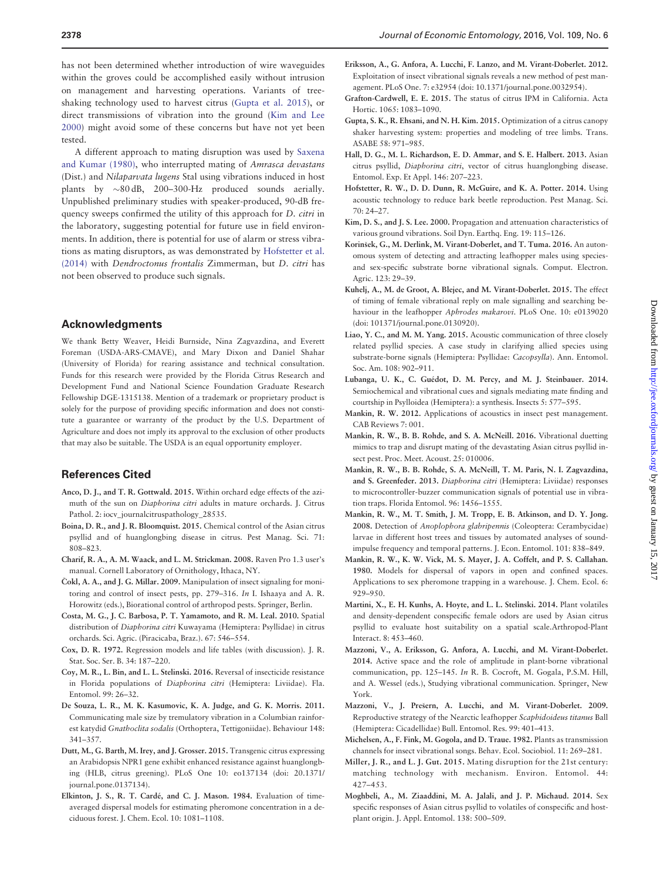<span id="page-5-0"></span>has not been determined whether introduction of wire waveguides within the groves could be accomplished easily without intrusion on management and harvesting operations. Variants of treeshaking technology used to harvest citrus (Gupta et al. 2015), or direct transmissions of vibration into the ground (Kim and Lee 2000) might avoid some of these concerns but have not yet been tested.

A different approach to mating disruption was used by [Saxena](#page-6-0) [and Kumar \(1980\)](#page-6-0), who interrupted mating of Amrasca devastans (Dist.) and *Nilaparvata lugens* Stal using vibrations induced in host plants by  $\sim 80$  dB, 200–300-Hz produced sounds aerially. Unpublished preliminary studies with speaker-produced, 90-dB frequency sweeps confirmed the utility of this approach for D. citri in the laboratory, suggesting potential for future use in field environments. In addition, there is potential for use of alarm or stress vibrations as mating disruptors, as was demonstrated by Hofstetter et al. (2014) with Dendroctonus frontalis Zimmerman, but D. citri has not been observed to produce such signals.

## Acknowledgments

We thank Betty Weaver, Heidi Burnside, Nina Zagvazdina, and Everett Foreman (USDA-ARS-CMAVE), and Mary Dixon and Daniel Shahar (University of Florida) for rearing assistance and technical consultation. Funds for this research were provided by the Florida Citrus Research and Development Fund and National Science Foundation Graduate Research Fellowship DGE-1315138. Mention of a trademark or proprietary product is solely for the purpose of providing specific information and does not constitute a guarantee or warranty of the product by the U.S. Department of Agriculture and does not imply its approval to the exclusion of other products that may also be suitable. The USDA is an equal opportunity employer.

## References Cited

- Anco, D. J., and T. R. Gottwald. 2015. Within orchard edge effects of the azimuth of the sun on Diaphorina citri adults in mature orchards. J. Citrus Pathol. 2: iocv\_journalcitruspathology\_28535.
- Boina, D. R., and J. R. Bloomquist. 2015. Chemical control of the Asian citrus psyllid and of huanglongbing disease in citrus. Pest Manag. Sci. 71: 808–823.
- Charif, R. A., A. M. Waack, and L. M. Strickman. 2008. Raven Pro 1.3 user's manual. Cornell Laboratory of Ornithology, Ithaca, NY.
- Čokl, A. A., and J. G. Millar. 2009. Manipulation of insect signaling for monitoring and control of insect pests, pp. 279–316. In I. Ishaaya and A. R. Horowitz (eds.), Biorational control of arthropod pests. Springer, Berlin.
- Costa, M. G., J. C. Barbosa, P. T. Yamamoto, and R. M. Leal. 2010. Spatial distribution of Diaphorina citri Kuwayama (Hemiptera: Psyllidae) in citrus orchards. Sci. Agric. (Piracicaba, Braz.). 67: 546–554.
- Cox, D. R. 1972. Regression models and life tables (with discussion). J. R. Stat. Soc. Ser. B. 34: 187–220.
- Coy, M. R., L. Bin, and L. L. Stelinski. 2016. Reversal of insecticide resistance in Florida populations of Diaphorina citri (Hemiptera: Liviidae). Fla. Entomol. 99: 26–32.
- De Souza, L. R., M. K. Kasumovic, K. A. Judge, and G. K. Morris. 2011. Communicating male size by tremulatory vibration in a Columbian rainforest katydid Gnathoclita sodalis (Orthoptera, Tettigoniidae). Behaviour 148: 341–357.
- Dutt, M., G. Barth, M. Irey, and J. Grosser. 2015. Transgenic citrus expressing an Arabidopsis NPR1 gene exhibit enhanced resistance against huanglongbing (HLB, citrus greening). PLoS One 10: eo137134 (doi: 20.1371/ journal.pone.0137134).
- Elkinton, J. S., R. T. Cardé, and C. J. Mason. 1984. Evaluation of timeaveraged dispersal models for estimating pheromone concentration in a deciduous forest. J. Chem. Ecol. 10: 1081–1108.
- Eriksson, A., G. Anfora, A. Lucchi, F. Lanzo, and M. Virant-Doberlet. 2012. Exploitation of insect vibrational signals reveals a new method of pest management. PLoS One. 7: e32954 (doi: 10.1371/journal.pone.0032954).
- Grafton-Cardwell, E. E. 2015. The status of citrus IPM in California. Acta Hortic. 1065: 1083–1090.
- Gupta, S. K., R. Ehsani, and N. H. Kim. 2015. Optimization of a citrus canopy shaker harvesting system: properties and modeling of tree limbs. Trans. ASABE 58: 971–985.
- Hall, D. G., M. L. Richardson, E. D. Ammar, and S. E. Halbert. 2013. Asian citrus psyllid, Diaphorina citri, vector of citrus huanglongbing disease. Entomol. Exp. Et Appl. 146: 207–223.
- Hofstetter, R. W., D. D. Dunn, R. McGuire, and K. A. Potter. 2014. Using acoustic technology to reduce bark beetle reproduction. Pest Manag. Sci. 70: 24–27.
- Kim, D. S., and J. S. Lee. 2000. Propagation and attenuation characteristics of various ground vibrations. Soil Dyn. Earthq. Eng. 19: 115–126.
- Korinšek, G., M. Derlink, M. Virant-Doberlet, and T. Tuma. 2016. An autonomous system of detecting and attracting leafhopper males using speciesand sex-specific substrate borne vibrational signals. Comput. Electron. Agric. 123: 29–39.
- Kuhelj, A., M. de Groot, A. Blejec, and M. Virant-Doberlet. 2015. The effect of timing of female vibrational reply on male signalling and searching behaviour in the leafhopper Aphrodes makarovi. PLoS One. 10: e0139020 (doi: 101371/journal.pone.0130920).
- Liao, Y. C., and M. M. Yang. 2015. Acoustic communication of three closely related psyllid species. A case study in clarifying allied species using substrate-borne signals (Hemiptera: Psyllidae: Cacopsylla). Ann. Entomol. Soc. Am. 108: 902–911.
- Lubanga, U. K., C. Guédot, D. M. Percy, and M. J. Steinbauer. 2014. Semiochemical and vibrational cues and signals mediating mate finding and courtship in Psylloidea (Hemiptera): a synthesis. Insects 5: 577–595.
- Mankin, R. W. 2012. Applications of acoustics in insect pest management. CAB Reviews 7: 001.
- Mankin, R. W., B. B. Rohde, and S. A. McNeill. 2016. Vibrational duetting mimics to trap and disrupt mating of the devastating Asian citrus psyllid insect pest. Proc. Meet. Acoust. 25: 010006.
- Mankin, R. W., B. B. Rohde, S. A. McNeill, T. M. Paris, N. I. Zagvazdina, and S. Greenfeder. 2013. Diaphorina citri (Hemiptera: Liviidae) responses to microcontroller-buzzer communication signals of potential use in vibration traps. Florida Entomol. 96: 1456–1555.
- Mankin, R. W., M. T. Smith, J. M. Tropp, E. B. Atkinson, and D. Y. Jong. 2008. Detection of Anoplophora glabripennis (Coleoptera: Cerambycidae) larvae in different host trees and tissues by automated analyses of soundimpulse frequency and temporal patterns. J. Econ. Entomol. 101: 838–849.
- Mankin, R. W., K. W. Vick, M. S. Mayer, J. A. Coffelt, and P. S. Callahan. 1980. Models for dispersal of vapors in open and confined spaces. Applications to sex pheromone trapping in a warehouse. J. Chem. Ecol. 6: 929–950.
- Martini, X., E. H. Kunhs, A. Hoyte, and L. L. Stelinski. 2014. Plant volatiles and density-dependent conspecific female odors are used by Asian citrus psyllid to evaluate host suitability on a spatial scale.Arthropod-Plant Interact. 8: 453–460.
- Mazzoni, V., A. Eriksson, G. Anfora, A. Lucchi, and M. Virant-Doberlet. 2014. Active space and the role of amplitude in plant-borne vibrational communication, pp. 125–145. In R. B. Cocroft, M. Gogala, P.S.M. Hill, and A. Wessel (eds.), Studying vibrational communication. Springer, New York.
- Mazzoni, V., J. Prešern, A. Lucchi, and M. Virant-Doberlet. 2009. Reproductive strategy of the Nearctic leafhopper Scaphidoideus titanus Ball (Hemiptera: Cicadellidae) Bull. Entomol. Res. 99: 401–413.
- Michelsen, A., F. Fink, M. Gogola, and D. Traue. 1982. Plants as transmission channels for insect vibrational songs. Behav. Ecol. Sociobiol. 11: 269–281.
- Miller, J. R., and L. J. Gut. 2015. Mating disruption for the 21st century: matching technology with mechanism. Environ. Entomol. 44: 427–453.
- Moghbeli, A., M. Ziaaddini, M. A. Jalali, and J. P. Michaud. 2014. Sex specific responses of Asian citrus psyllid to volatiles of conspecific and hostplant origin. J. Appl. Entomol. 138: 500–509.